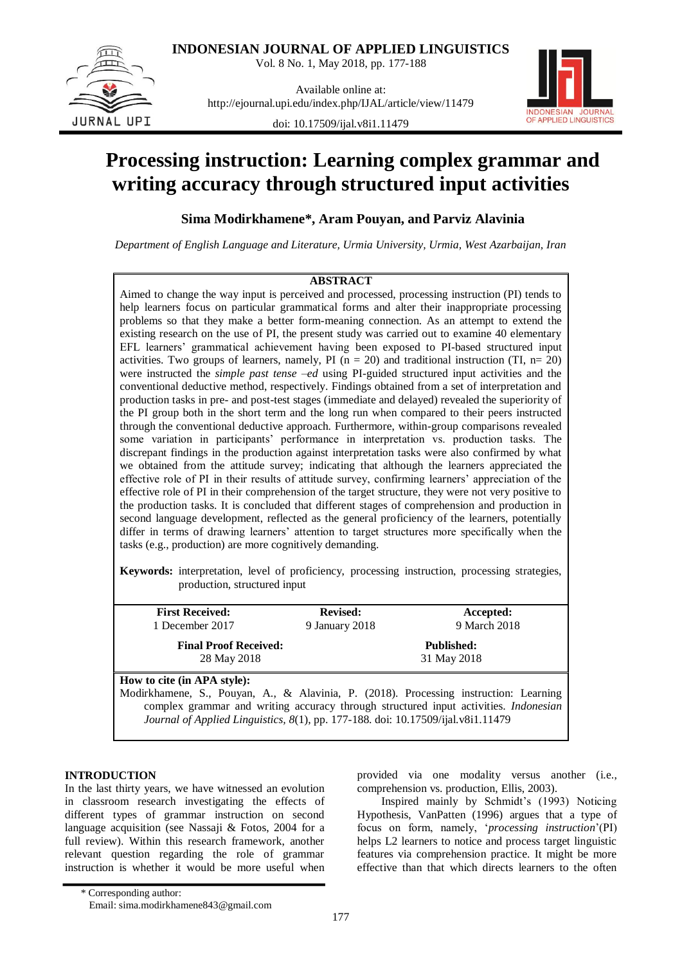

**INDONESIAN JOURNAL OF APPLIED LINGUISTICS** Vol. 8 No. 1, May 2018, pp. 177-188

Available online at: http://ejournal.upi.edu/index.php/IJAL/article/view/11479

doi: 10.17509/ijal.v8i1.11479



# **Processing instruction: Learning complex grammar and writing accuracy through structured input activities**

**Sima Modirkhamene\*, Aram Pouyan, and Parviz Alavinia**

*Department of English Language and Literature, Urmia University, Urmia, West Azarbaijan, Iran*

# **ABSTRACT**

Aimed to change the way input is perceived and processed, processing instruction (PI) tends to help learners focus on particular grammatical forms and alter their inappropriate processing problems so that they make a better form-meaning connection. As an attempt to extend the existing research on the use of PI, the present study was carried out to examine 40 elementary EFL learners" grammatical achievement having been exposed to PI-based structured input activities. Two groups of learners, namely, PI ( $n = 20$ ) and traditional instruction (TI,  $n = 20$ ) were instructed the *simple past tense –ed* using PI-guided structured input activities and the conventional deductive method, respectively. Findings obtained from a set of interpretation and production tasks in pre- and post-test stages (immediate and delayed) revealed the superiority of the PI group both in the short term and the long run when compared to their peers instructed through the conventional deductive approach. Furthermore, within-group comparisons revealed some variation in participants' performance in interpretation vs. production tasks. The discrepant findings in the production against interpretation tasks were also confirmed by what we obtained from the attitude survey; indicating that although the learners appreciated the effective role of PI in their results of attitude survey, confirming learners" appreciation of the effective role of PI in their comprehension of the target structure, they were not very positive to the production tasks. It is concluded that different stages of comprehension and production in second language development, reflected as the general proficiency of the learners, potentially differ in terms of drawing learners" attention to target structures more specifically when the tasks (e.g., production) are more cognitively demanding.

**Keywords:** interpretation, level of proficiency, processing instruction, processing strategies, production, structured input

| <b>First Received:</b>                                                           | <b>Revised:</b> | Accepted:                                                                                   |
|----------------------------------------------------------------------------------|-----------------|---------------------------------------------------------------------------------------------|
| 1 December 2017                                                                  | 9 January 2018  | 9 March 2018                                                                                |
| <b>Final Proof Received:</b>                                                     |                 | <b>Published:</b>                                                                           |
| 28 May 2018                                                                      |                 | 31 May 2018                                                                                 |
| How to cite (in APA style):                                                      |                 |                                                                                             |
|                                                                                  |                 | Modirkhamene, S., Pouyan, A., & Alavinia, P. (2018). Processing instruction: Learning       |
|                                                                                  |                 | complex grammar and writing accuracy through structured input activities. <i>Indonesian</i> |
| Journal of Applied Linguistics, 8(1), pp. 177-188. doi: 10.17509/ijal.v8i1.11479 |                 |                                                                                             |

# **INTRODUCTION**

In the last thirty years, we have witnessed an evolution in classroom research investigating the effects of different types of grammar instruction on second language acquisition (see Nassaji & Fotos, 2004 for a full review). Within this research framework, another relevant question regarding the role of grammar instruction is whether it would be more useful when provided via one modality versus another (i.e., comprehension vs. production, Ellis, 2003).

Inspired mainly by Schmidt"s (1993) Noticing Hypothesis, VanPatten (1996) argues that a type of focus on form, namely, "*processing instruction*"(PI) helps L2 learners to notice and process target linguistic features via comprehension practice. It might be more effective than that which directs learners to the often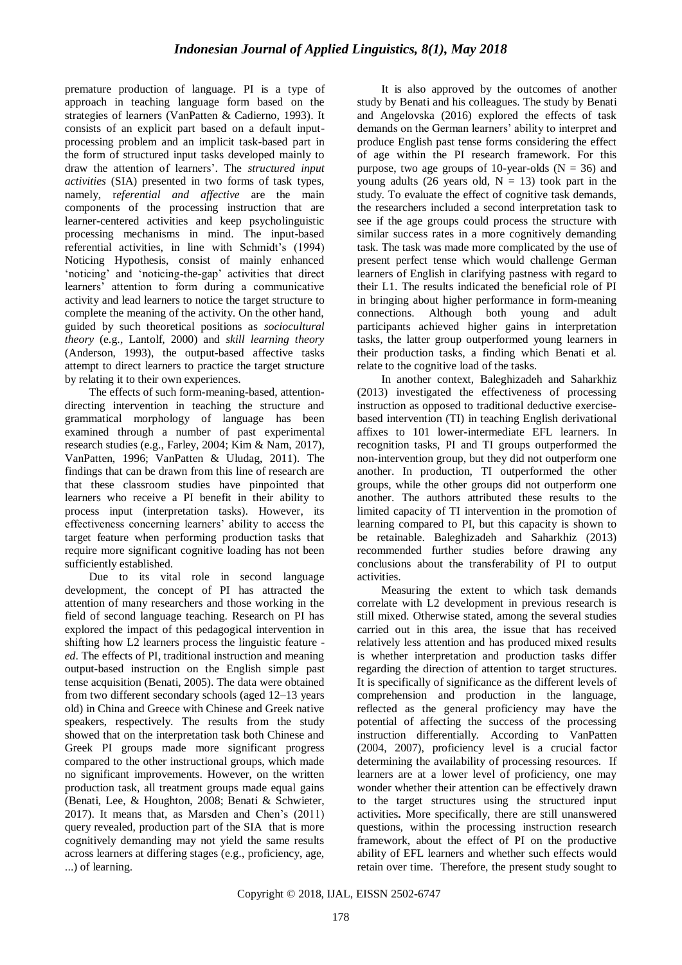premature production of language. PI is a type of approach in teaching language form based on the strategies of learners (VanPatten & Cadierno, 1993). It consists of an explicit part based on a default inputprocessing problem and an implicit task-based part in the form of structured input tasks developed mainly to draw the attention of learners". The *structured input activities* (SIA) presented in two forms of task types, namely, r*eferential and affective* are the main components of the processing instruction that are learner-centered activities and keep psycholinguistic processing mechanisms in mind. The input-based referential activities, in line with Schmidt"s (1994) Noticing Hypothesis, consist of mainly enhanced 'noticing' and 'noticing-the-gap' activities that direct learners" attention to form during a communicative activity and lead learners to notice the target structure to complete the meaning of the activity. On the other hand, guided by such theoretical positions as *sociocultural theory* (e.g., Lantolf, 2000) and *skill learning theory* (Anderson, 1993), the output-based affective tasks attempt to direct learners to practice the target structure by relating it to their own experiences.

The effects of such form-meaning-based, attentiondirecting intervention in teaching the structure and grammatical morphology of language has been examined through a number of past experimental research studies (e.g., Farley, 2004; Kim & Nam, 2017), VanPatten, 1996; VanPatten & Uludag, 2011). The findings that can be drawn from this line of research are that these classroom studies have pinpointed that learners who receive a PI benefit in their ability to process input (interpretation tasks). However, its effectiveness concerning learners" ability to access the target feature when performing production tasks that require more significant cognitive loading has not been sufficiently established.

Due to its vital role in second language development, the concept of PI has attracted the attention of many researchers and those working in the field of second language teaching. Research on PI has explored the impact of this pedagogical intervention in shifting how L2 learners process the linguistic feature *ed*. The effects of PI, traditional instruction and meaning output-based instruction on the English simple past tense acquisition (Benati, 2005). The data were obtained from two different secondary schools (aged 12–13 years old) in China and Greece with Chinese and Greek native speakers, respectively. The results from the study showed that on the interpretation task both Chinese and Greek PI groups made more significant progress compared to the other instructional groups, which made no significant improvements. However, on the written production task, all treatment groups made equal gains (Benati, Lee, & Houghton, 2008; Benati & Schwieter, 2017). It means that, as Marsden and Chen"s (2011) query revealed, production part of the SIA that is more cognitively demanding may not yield the same results across learners at differing stages (e.g., proficiency, age, ...) of learning.

It is also approved by the outcomes of another study by Benati and his colleagues. The study by Benati and Angelovska (2016) explored the effects of task demands on the German learners" ability to interpret and produce English past tense forms considering the effect of age within the PI research framework. For this purpose, two age groups of 10-year-olds  $(N = 36)$  and young adults (26 years old,  $N = 13$ ) took part in the study. To evaluate the effect of cognitive task demands, the researchers included a second interpretation task to see if the age groups could process the structure with similar success rates in a more cognitively demanding task. The task was made more complicated by the use of present perfect tense which would challenge German learners of English in clarifying pastness with regard to their L1. The results indicated the beneficial role of PI in bringing about higher performance in form-meaning connections. Although both young and adult participants achieved higher gains in interpretation tasks, the latter group outperformed young learners in their production tasks, a finding which Benati et al. relate to the cognitive load of the tasks.

In another context, Baleghizadeh and Saharkhiz (2013) investigated the effectiveness of processing instruction as opposed to traditional deductive exercisebased intervention (TI) in teaching English derivational affixes to 101 lower-intermediate EFL learners. In recognition tasks, PI and TI groups outperformed the non-intervention group, but they did not outperform one another. In production, TI outperformed the other groups, while the other groups did not outperform one another. The authors attributed these results to the limited capacity of TI intervention in the promotion of learning compared to PI, but this capacity is shown to be retainable. Baleghizadeh and Saharkhiz (2013) recommended further studies before drawing any conclusions about the transferability of PI to output activities.

Measuring the extent to which task demands correlate with L2 development in previous research is still mixed. Otherwise stated, among the several studies carried out in this area, the issue that has received relatively less attention and has produced mixed results is whether interpretation and production tasks differ regarding the direction of attention to target structures. It is specifically of significance as the different levels of comprehension and production in the language, reflected as the general proficiency may have the potential of affecting the success of the processing instruction differentially. According to VanPatten (2004, 2007), proficiency level is a crucial factor determining the availability of processing resources. If learners are at a lower level of proficiency, one may wonder whether their attention can be effectively drawn to the target structures using the structured input activities**.** More specifically, there are still unanswered questions, within the processing instruction research framework, about the effect of PI on the productive ability of EFL learners and whether such effects would retain over time. Therefore, the present study sought to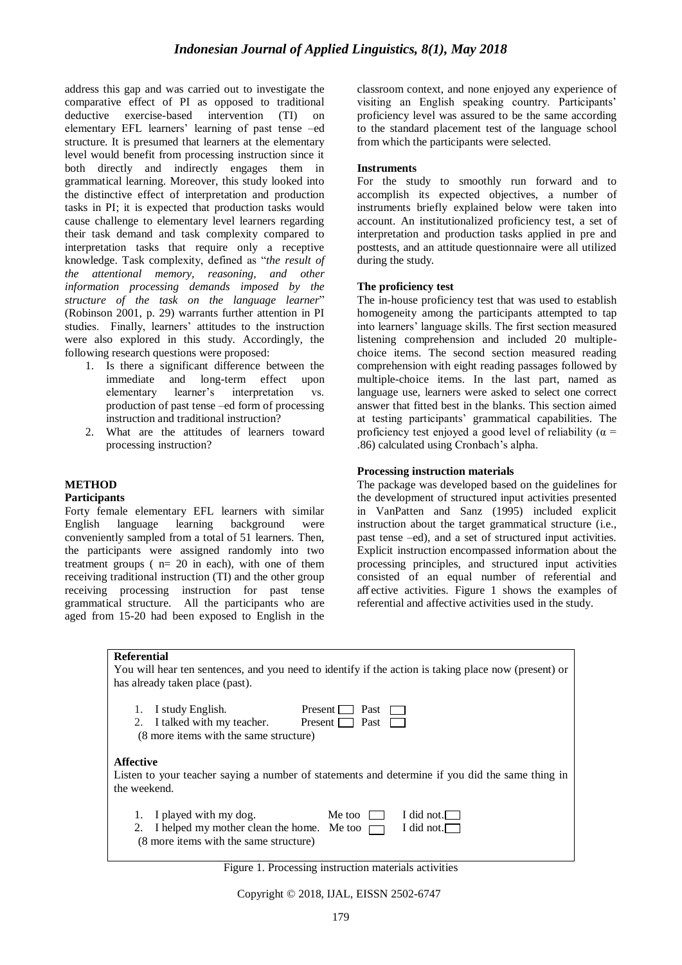address this gap and was carried out to investigate the comparative effect of PI as opposed to traditional deductive exercise-based intervention (TI) on elementary EFL learners" learning of past tense –ed structure. It is presumed that learners at the elementary level would benefit from processing instruction since it both directly and indirectly engages them in grammatical learning. Moreover, this study looked into the distinctive effect of interpretation and production tasks in PI; it is expected that production tasks would cause challenge to elementary level learners regarding their task demand and task complexity compared to interpretation tasks that require only a receptive knowledge. Task complexity, defined as "*the result of the attentional memory, reasoning, and other information processing demands imposed by the structure of the task on the language learner*" (Robinson 2001, p. 29) warrants further attention in PI studies. Finally, learners' attitudes to the instruction were also explored in this study. Accordingly, the following research questions were proposed:

- 1. Is there a significant difference between the immediate and long-term effect upon elementary learner's interpretation vs. production of past tense –ed form of processing instruction and traditional instruction?
- 2. What are the attitudes of learners toward processing instruction?

# **METHOD**

#### **Participants**

Forty female elementary EFL learners with similar English language learning background were conveniently sampled from a total of 51 learners. Then, the participants were assigned randomly into two treatment groups  $(n= 20 \text{ in each})$ , with one of them receiving traditional instruction (TI) and the other group receiving processing instruction for past tense grammatical structure. All the participants who are aged from 15-20 had been exposed to English in the classroom context, and none enjoyed any experience of visiting an English speaking country. Participants' proficiency level was assured to be the same according to the standard placement test of the language school from which the participants were selected.

# **Instruments**

For the study to smoothly run forward and to accomplish its expected objectives, a number of instruments briefly explained below were taken into account. An institutionalized proficiency test, a set of interpretation and production tasks applied in pre and posttests, and an attitude questionnaire were all utilized during the study.

# **The proficiency test**

The in-house proficiency test that was used to establish homogeneity among the participants attempted to tap into learners" language skills. The first section measured listening comprehension and included 20 multiplechoice items. The second section measured reading comprehension with eight reading passages followed by multiple-choice items. In the last part, named as language use, learners were asked to select one correct answer that fitted best in the blanks. This section aimed at testing participants" grammatical capabilities. The proficiency test enjoyed a good level of reliability ( $\alpha$  = .86) calculated using Cronbach"s alpha.

# **Processing instruction materials**

The package was developed based on the guidelines for the development of structured input activities presented in VanPatten and Sanz (1995) included explicit instruction about the target grammatical structure (i.e., past tense –ed), and a set of structured input activities. Explicit instruction encompassed information about the processing principles, and structured input activities consisted of an equal number of referential and aff ective activities. Figure 1 shows the examples of referential and affective activities used in the study.

| has already taken place (past).                                                                                        | You will hear ten sentences, and you need to identify if the action is taking place now (present) or |
|------------------------------------------------------------------------------------------------------------------------|------------------------------------------------------------------------------------------------------|
| I study English.<br>2. I talked with my teacher. Present $\Box$ Past $\Box$<br>(8 more items with the same structure)  | $Present \tPart$                                                                                     |
| <b>Affective</b><br>the weekend.                                                                                       | Listen to your teacher saying a number of statements and determine if you did the same thing in      |
| I played with my dog.<br>2. I helped my mother clean the home. Me too $\Box$<br>(8 more items with the same structure) | I did not.<br>Me too $\Box$<br>I did not. $\Box$                                                     |

Figure 1. Processing instruction materials activities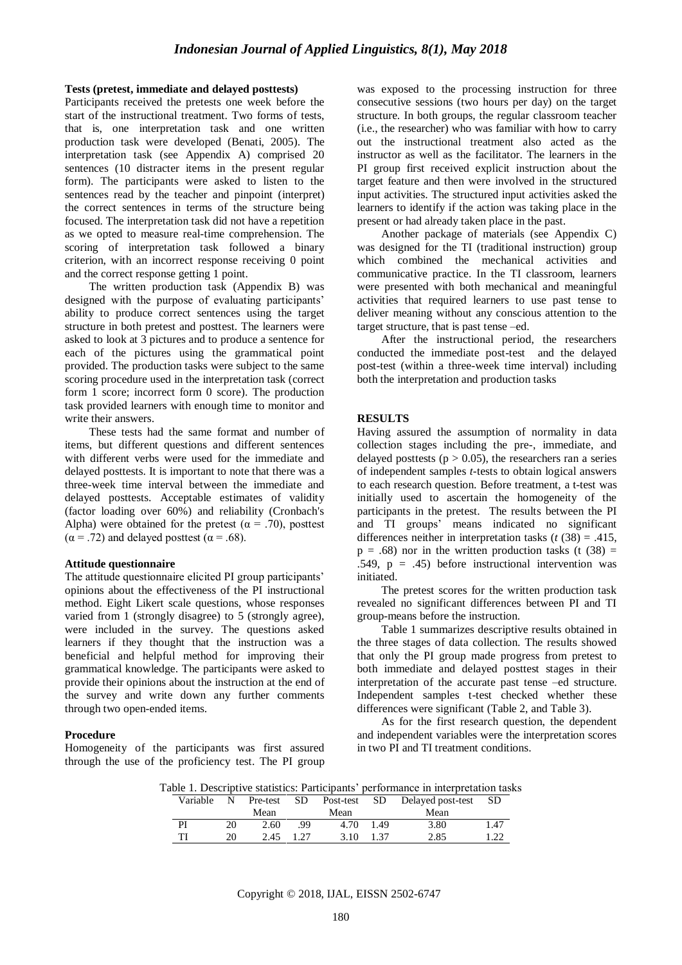#### **Tests (pretest, immediate and delayed posttests)**

Participants received the pretests one week before the start of the instructional treatment. Two forms of tests, that is, one interpretation task and one written production task were developed (Benati, 2005). The interpretation task (see Appendix A) comprised 20 sentences (10 distracter items in the present regular form). The participants were asked to listen to the sentences read by the teacher and pinpoint (interpret) the correct sentences in terms of the structure being focused. The interpretation task did not have a repetition as we opted to measure real-time comprehension. The scoring of interpretation task followed a binary criterion, with an incorrect response receiving 0 point and the correct response getting 1 point.

The written production task (Appendix B) was designed with the purpose of evaluating participants' ability to produce correct sentences using the target structure in both pretest and posttest. The learners were asked to look at 3 pictures and to produce a sentence for each of the pictures using the grammatical point provided. The production tasks were subject to the same scoring procedure used in the interpretation task (correct form 1 score; incorrect form 0 score). The production task provided learners with enough time to monitor and write their answers.

These tests had the same format and number of items, but different questions and different sentences with different verbs were used for the immediate and delayed posttests. It is important to note that there was a three-week time interval between the immediate and delayed posttests. Acceptable estimates of validity (factor loading over 60%) and reliability (Cronbach's Alpha) were obtained for the pretest ( $\alpha$  = .70), posttest  $(\alpha = .72)$  and delayed posttest  $(\alpha = .68)$ .

#### **Attitude questionnaire**

The attitude questionnaire elicited PI group participants' opinions about the effectiveness of the PI instructional method. Eight Likert scale questions, whose responses varied from 1 (strongly disagree) to 5 (strongly agree), were included in the survey. The questions asked learners if they thought that the instruction was a beneficial and helpful method for improving their grammatical knowledge. The participants were asked to provide their opinions about the instruction at the end of the survey and write down any further comments through two open-ended items.

#### **Procedure**

Homogeneity of the participants was first assured through the use of the proficiency test. The PI group was exposed to the processing instruction for three consecutive sessions (two hours per day) on the target structure. In both groups, the regular classroom teacher (i.e., the researcher) who was familiar with how to carry out the instructional treatment also acted as the instructor as well as the facilitator. The learners in the PI group first received explicit instruction about the target feature and then were involved in the structured input activities. The structured input activities asked the learners to identify if the action was taking place in the present or had already taken place in the past.

Another package of materials (see Appendix C) was designed for the TI (traditional instruction) group which combined the mechanical activities and communicative practice. In the TI classroom, learners were presented with both mechanical and meaningful activities that required learners to use past tense to deliver meaning without any conscious attention to the target structure, that is past tense –ed.

After the instructional period, the researchers conducted the immediate post-test and the delayed post-test (within a three-week time interval) including both the interpretation and production tasks

# **RESULTS**

Having assured the assumption of normality in data collection stages including the pre-, immediate, and delayed posttests ( $p > 0.05$ ), the researchers ran a series of independent samples *t*-tests to obtain logical answers to each research question. Before treatment, a t-test was initially used to ascertain the homogeneity of the participants in the pretest. The results between the PI and TI groups" means indicated no significant differences neither in interpretation tasks (*t* (38) = .415,  $p = .68$ ) nor in the written production tasks (t (38) = .549,  $p = .45$ ) before instructional intervention was initiated.

The pretest scores for the written production task revealed no significant differences between PI and TI group-means before the instruction.

Table 1 summarizes descriptive results obtained in the three stages of data collection. The results showed that only the PI group made progress from pretest to both immediate and delayed posttest stages in their interpretation of the accurate past tense –ed structure. Independent samples t-test checked whether these differences were significant (Table 2, and Table 3).

As for the first research question, the dependent and independent variables were the interpretation scores in two PI and TI treatment conditions.

Table 1. Descriptive statistics: Participants" performance in interpretation tasks

| Variable | N  | Pre-test | SD.  | Post-test | SD   | Delayed post-test | - SD |
|----------|----|----------|------|-----------|------|-------------------|------|
|          |    | Mean     |      | Mean      |      | Mean              |      |
| PI       | 20 | 2.60     | 99   | 4.70      | 1.49 | 3.80              | 1.47 |
| тı       | 20 | 2.45     | 1 27 | 3.10      | 1.37 | 2.85              |      |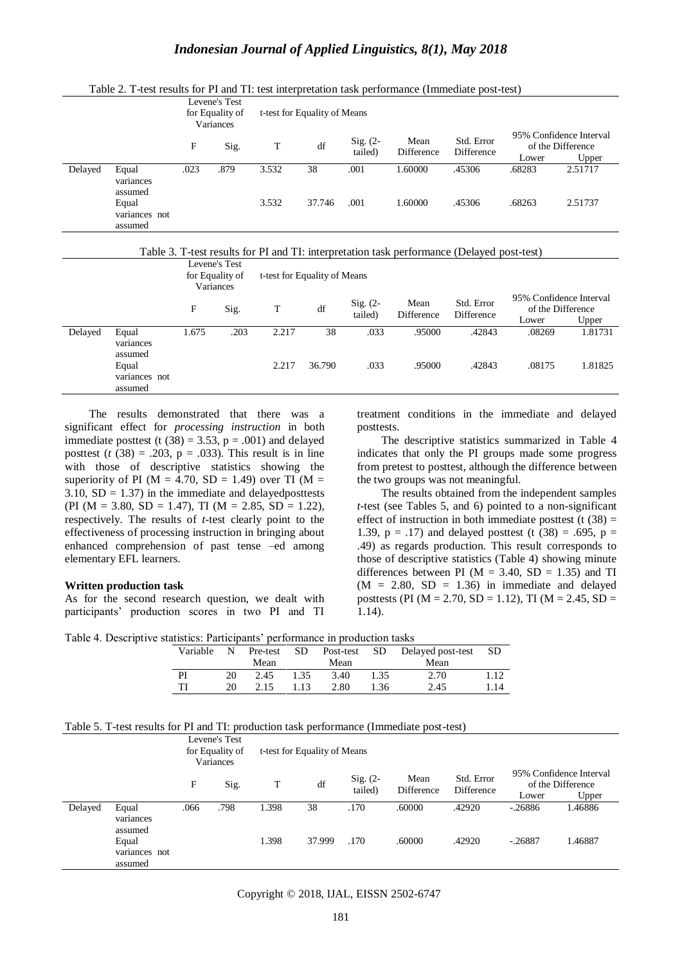|         |                                   | Levene's Test<br>for Equality of<br>Variances |      | t-test for Equality of Means |        |                        |                    |                          |        |                                                       |
|---------|-----------------------------------|-----------------------------------------------|------|------------------------------|--------|------------------------|--------------------|--------------------------|--------|-------------------------------------------------------|
|         |                                   | F                                             | Sig. | T                            | df     | Sig. $(2 -$<br>tailed) | Mean<br>Difference | Std. Error<br>Difference | Lower  | 95% Confidence Interval<br>of the Difference<br>Upper |
| Delayed | Equal<br>variances<br>assumed     | .023                                          | .879 | 3.532                        | 38     | .001                   | 1.60000            | .45306                   | .68283 | 2.51717                                               |
|         | Equal<br>variances not<br>assumed |                                               |      | 3.532                        | 37.746 | .001                   | 1.60000            | .45306                   | .68263 | 2.51737                                               |
|         |                                   |                                               |      |                              |        |                        |                    |                          |        |                                                       |

Table 2. T-test results for PI and TI: test interpretation task performance (Immediate post-test)



|         |                                                         | Levene's Test<br>for Equality of<br>Variances |      | t-test for Equality of Means |              |                        |                    |                          |                                                       |                    |
|---------|---------------------------------------------------------|-----------------------------------------------|------|------------------------------|--------------|------------------------|--------------------|--------------------------|-------------------------------------------------------|--------------------|
|         |                                                         | F                                             | Sig. | T                            | df           | Sig. $(2 -$<br>tailed) | Mean<br>Difference | Std. Error<br>Difference | 95% Confidence Interval<br>of the Difference<br>Lower | Upper              |
| Delayed | Equal<br>variances<br>assumed<br>Equal<br>variances not | 1.675                                         | .203 | 2.217<br>2.217               | 38<br>36.790 | .033<br>.033           | .95000<br>.95000   | .42843<br>.42843         | .08269<br>.08175                                      | 1.81731<br>1.81825 |
|         | assumed                                                 |                                               |      |                              |              |                        |                    |                          |                                                       |                    |

The results demonstrated that there was a significant effect for *processing instruction* in both immediate posttest (t  $(38) = 3.53$ ,  $p = .001$ ) and delayed posttest  $(t (38) = .203, p = .033)$ . This result is in line with those of descriptive statistics showing the superiority of PI ( $M = 4.70$ , SD = 1.49) over TI ( $M =$ 3.10,  $SD = 1.37$ ) in the immediate and delayed positiests (PI ( $M = 3.80$ ,  $SD = 1.47$ ), TI ( $M = 2.85$ ,  $SD = 1.22$ ), respectively. The results of *t*-test clearly point to the effectiveness of processing instruction in bringing about enhanced comprehension of past tense –ed among elementary EFL learners.

#### **Written production task**

As for the second research question, we dealt with participants" production scores in two PI and TI

treatment conditions in the immediate and delayed posttests.

The descriptive statistics summarized in Table 4 indicates that only the PI groups made some progress from pretest to posttest, although the difference between the two groups was not meaningful.

The results obtained from the independent samples *t*-test (see Tables 5, and 6) pointed to a non-significant effect of instruction in both immediate posttest (t  $(38)$  = 1.39,  $p = .17$ ) and delayed posttest (t (38) = .695,  $p =$ .49) as regards production. This result corresponds to those of descriptive statistics (Table 4) showing minute differences between PI ( $M = 3.40$ , SD = 1.35) and TI  $(M = 2.80, SD = 1.36)$  in immediate and delayed posttests (PI ( $M = 2.70$ , SD = 1.12), TI ( $M = 2.45$ , SD = 1.14).

Table 4. Descriptive statistics: Participants" performance in production tasks

| Variable | N  |      |      |      |      | Pre-test SD Post-test SD Delayed post-test SD |      |
|----------|----|------|------|------|------|-----------------------------------------------|------|
|          |    | Mean |      | Mean |      | Mean                                          |      |
| PI       | 20 | 2.45 | 1.35 | 3.40 | 1.35 | 2.70                                          | 1.12 |
|          | 20 | 2.15 | 1.13 | 2.80 | 1.36 | 2.45                                          | 1.14 |

| Table 5. T-test results for PI and TI: production task performance (Immediate post-test) |  |  |
|------------------------------------------------------------------------------------------|--|--|
|------------------------------------------------------------------------------------------|--|--|

|         |                                   | Levene's Test<br>for Equality of<br>Variances |      | t-test for Equality of Means |        |                        |                    |                          |           |                                                       |
|---------|-----------------------------------|-----------------------------------------------|------|------------------------------|--------|------------------------|--------------------|--------------------------|-----------|-------------------------------------------------------|
|         |                                   | F                                             | Sig. | T                            | df     | Sig. $(2 -$<br>tailed) | Mean<br>Difference | Std. Error<br>Difference | Lower     | 95% Confidence Interval<br>of the Difference<br>Upper |
| Delayed | Equal<br>variances<br>assumed     | .066                                          | .798 | 1.398                        | 38     | .170                   | .60000             | .42920                   | $-.26886$ | 1.46886                                               |
|         | Equal<br>variances not<br>assumed |                                               |      | 1.398                        | 37.999 | .170                   | .60000             | .42920                   | $-.26887$ | 1.46887                                               |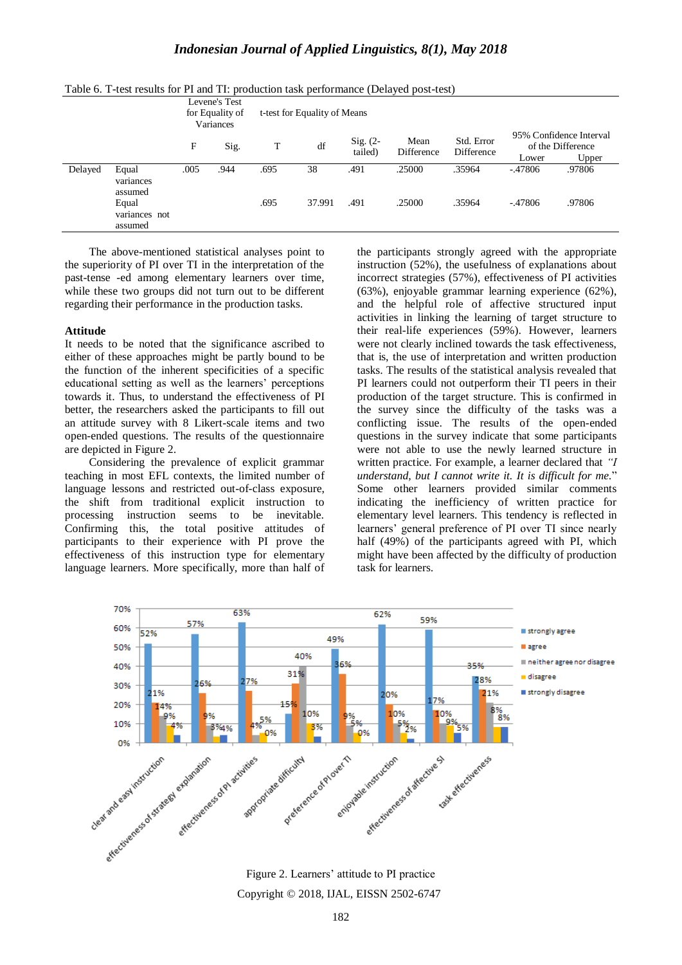|         |                                                         | Levene's Test<br>for Equality of<br>Variances |      |              | t-test for Equality of Means |                        |                    |                          |                       |                                                       |
|---------|---------------------------------------------------------|-----------------------------------------------|------|--------------|------------------------------|------------------------|--------------------|--------------------------|-----------------------|-------------------------------------------------------|
|         |                                                         | F                                             | Sig. | T            | df                           | Sig. $(2 -$<br>tailed) | Mean<br>Difference | Std. Error<br>Difference | Lower                 | 95% Confidence Interval<br>of the Difference<br>Upper |
| Delayed | Equal<br>variances<br>assumed<br>Equal<br>variances not | .005                                          | .944 | .695<br>.695 | 38<br>37.991                 | .491<br>.491           | .25000<br>.25000   | .35964<br>.35964         | $-47806$<br>$-.47806$ | .97806<br>.97806                                      |
|         | assumed                                                 |                                               |      |              |                              |                        |                    |                          |                       |                                                       |

Table 6. T-test results for PI and TI: production task performance (Delayed post-test)

The above-mentioned statistical analyses point to the superiority of PI over TI in the interpretation of the past-tense -ed among elementary learners over time, while these two groups did not turn out to be different regarding their performance in the production tasks.

#### **Attitude**

It needs to be noted that the significance ascribed to either of these approaches might be partly bound to be the function of the inherent specificities of a specific educational setting as well as the learners" perceptions towards it. Thus, to understand the effectiveness of PI better, the researchers asked the participants to fill out an attitude survey with 8 Likert-scale items and two open-ended questions. The results of the questionnaire are depicted in Figure 2.

Considering the prevalence of explicit grammar teaching in most EFL contexts, the limited number of language lessons and restricted out-of-class exposure, the shift from traditional explicit instruction to processing instruction seems to be inevitable. Confirming this, the total positive attitudes of participants to their experience with PI prove the effectiveness of this instruction type for elementary language learners. More specifically, more than half of the participants strongly agreed with the appropriate instruction (52%), the usefulness of explanations about incorrect strategies (57%), effectiveness of PI activities (63%), enjoyable grammar learning experience (62%), and the helpful role of affective structured input activities in linking the learning of target structure to their real-life experiences (59%). However, learners were not clearly inclined towards the task effectiveness, that is, the use of interpretation and written production tasks. The results of the statistical analysis revealed that PI learners could not outperform their TI peers in their production of the target structure. This is confirmed in the survey since the difficulty of the tasks was a conflicting issue. The results of the open-ended questions in the survey indicate that some participants were not able to use the newly learned structure in written practice. For example, a learner declared that *"I understand, but I cannot write it. It is difficult for me.*" Some other learners provided similar comments indicating the inefficiency of written practice for elementary level learners. This tendency is reflected in learners' general preference of PI over TI since nearly half (49%) of the participants agreed with PI, which might have been affected by the difficulty of production task for learners.



Copyright © 2018, IJAL, EISSN [2502-6747](http://u.lipi.go.id/1435827202) Figure 2. Learners' attitude to PI practice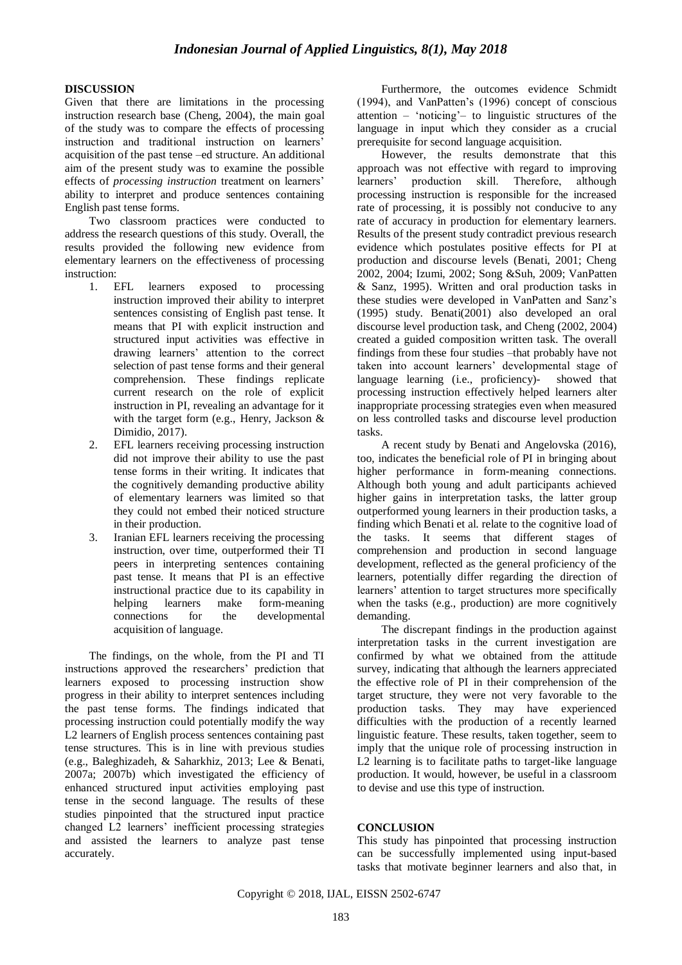# **DISCUSSION**

Given that there are limitations in the processing instruction research base (Cheng, 2004), the main goal of the study was to compare the effects of processing instruction and traditional instruction on learners' acquisition of the past tense –ed structure. An additional aim of the present study was to examine the possible effects of *processing instruction* treatment on learners' ability to interpret and produce sentences containing English past tense forms.

Two classroom practices were conducted to address the research questions of this study. Overall, the results provided the following new evidence from elementary learners on the effectiveness of processing instruction:

- 1. EFL learners exposed to processing instruction improved their ability to interpret sentences consisting of English past tense. It means that PI with explicit instruction and structured input activities was effective in drawing learners" attention to the correct selection of past tense forms and their general comprehension. These findings replicate current research on the role of explicit instruction in PI, revealing an advantage for it with the target form (e.g., Henry, Jackson & Dimidio, 2017).
- 2. EFL learners receiving processing instruction did not improve their ability to use the past tense forms in their writing. It indicates that the cognitively demanding productive ability of elementary learners was limited so that they could not embed their noticed structure in their production.
- 3. Iranian EFL learners receiving the processing instruction, over time, outperformed their TI peers in interpreting sentences containing past tense. It means that PI is an effective instructional practice due to its capability in helping learners make form-meaning connections for the developmental acquisition of language.

The findings, on the whole, from the PI and TI instructions approved the researchers' prediction that learners exposed to processing instruction show progress in their ability to interpret sentences including the past tense forms. The findings indicated that processing instruction could potentially modify the way L2 learners of English process sentences containing past tense structures. This is in line with previous studies (e.g., Baleghizadeh, & Saharkhiz, 2013; Lee & Benati, 2007a; 2007b) which investigated the efficiency of enhanced structured input activities employing past tense in the second language. The results of these studies pinpointed that the structured input practice changed L2 learners" inefficient processing strategies and assisted the learners to analyze past tense accurately.

Furthermore, the outcomes evidence Schmidt (1994), and VanPatten"s (1996) concept of conscious attention – "noticing"– to linguistic structures of the language in input which they consider as a crucial prerequisite for second language acquisition.

However, the results demonstrate that this approach was not effective with regard to improving learners" production skill. Therefore, although processing instruction is responsible for the increased rate of processing, it is possibly not conducive to any rate of accuracy in production for elementary learners. Results of the present study contradict previous research evidence which postulates positive effects for PI at production and discourse levels (Benati, 2001; Cheng 2002, 2004; Izumi, 2002; Song &Suh, 2009; VanPatten & Sanz, 1995). Written and oral production tasks in these studies were developed in VanPatten and Sanz"s (1995) study. Benati(2001) also developed an oral discourse level production task, and Cheng (2002, 2004) created a guided composition written task. The overall findings from these four studies –that probably have not taken into account learners' developmental stage of language learning (i.e., proficiency)- showed that processing instruction effectively helped learners alter inappropriate processing strategies even when measured on less controlled tasks and discourse level production tasks.

A recent study by Benati and Angelovska (2016), too, indicates the beneficial role of PI in bringing about higher performance in form-meaning connections. Although both young and adult participants achieved higher gains in interpretation tasks, the latter group outperformed young learners in their production tasks, a finding which Benati et al. relate to the cognitive load of the tasks. It seems that different stages of comprehension and production in second language development, reflected as the general proficiency of the learners, potentially differ regarding the direction of learners' attention to target structures more specifically when the tasks (e.g., production) are more cognitively demanding.

The discrepant findings in the production against interpretation tasks in the current investigation are confirmed by what we obtained from the attitude survey, indicating that although the learners appreciated the effective role of PI in their comprehension of the target structure, they were not very favorable to the production tasks. They may have experienced difficulties with the production of a recently learned linguistic feature. These results, taken together, seem to imply that the unique role of processing instruction in L<sub>2</sub> learning is to facilitate paths to target-like language production. It would, however, be useful in a classroom to devise and use this type of instruction.

# **CONCLUSION**

This study has pinpointed that processing instruction can be successfully implemented using input-based tasks that motivate beginner learners and also that, in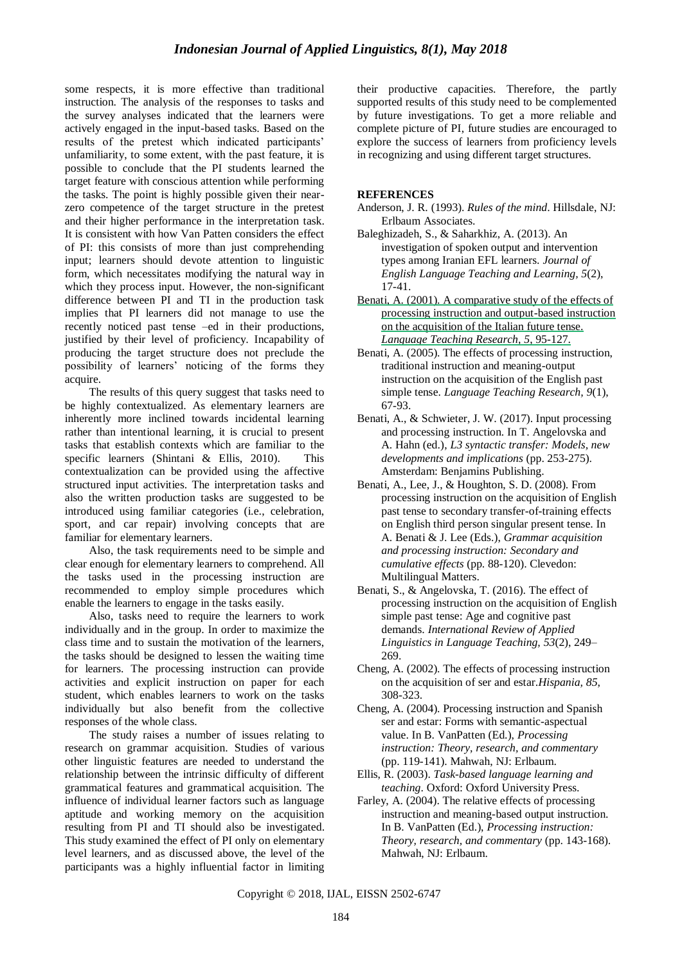some respects, it is more effective than traditional instruction. The analysis of the responses to tasks and the survey analyses indicated that the learners were actively engaged in the input-based tasks. Based on the results of the pretest which indicated participants" unfamiliarity, to some extent, with the past feature, it is possible to conclude that the PI students learned the target feature with conscious attention while performing the tasks. The point is highly possible given their nearzero competence of the target structure in the pretest and their higher performance in the interpretation task. It is consistent with how Van Patten considers the effect of PI: this consists of more than just comprehending input; learners should devote attention to linguistic form, which necessitates modifying the natural way in which they process input. However, the non-significant difference between PI and TI in the production task implies that PI learners did not manage to use the recently noticed past tense –ed in their productions, justified by their level of proficiency. Incapability of producing the target structure does not preclude the possibility of learners' noticing of the forms they acquire.

The results of this query suggest that tasks need to be highly contextualized. As elementary learners are inherently more inclined towards incidental learning rather than intentional learning, it is crucial to present tasks that establish contexts which are familiar to the specific learners (Shintani & Ellis, 2010). This contextualization can be provided using the affective structured input activities. The interpretation tasks and also the written production tasks are suggested to be introduced using familiar categories (i.e., celebration, sport, and car repair) involving concepts that are familiar for elementary learners.

Also, the task requirements need to be simple and clear enough for elementary learners to comprehend. All the tasks used in the processing instruction are recommended to employ simple procedures which enable the learners to engage in the tasks easily.

Also, tasks need to require the learners to work individually and in the group. In order to maximize the class time and to sustain the motivation of the learners, the tasks should be designed to lessen the waiting time for learners. The processing instruction can provide activities and explicit instruction on paper for each student, which enables learners to work on the tasks individually but also benefit from the collective responses of the whole class.

The study raises a number of issues relating to research on grammar acquisition. Studies of various other linguistic features are needed to understand the relationship between the intrinsic difficulty of different grammatical features and grammatical acquisition. The influence of individual learner factors such as language aptitude and working memory on the acquisition resulting from PI and TI should also be investigated. This study examined the effect of PI only on elementary level learners, and as discussed above, the level of the participants was a highly influential factor in limiting their productive capacities. Therefore, the partly supported results of this study need to be complemented by future investigations. To get a more reliable and complete picture of PI, future studies are encouraged to explore the success of learners from proficiency levels in recognizing and using different target structures.

# **REFERENCES**

- Anderson, J. R. (1993). *Rules of the mind*. Hillsdale, NJ: Erlbaum Associates.
- Baleghizadeh, S., & Saharkhiz, A. (2013). An investigation of spoken output and intervention types among Iranian EFL learners. *Journal of English Language Teaching and Learning, 5*(2), 17-41.
- Benati, A. (2001). A comparative study of the effects of processing instruction and output-based instruction on the acquisition of the Italian future tense. *Language Teaching Research, 5*, 95-127.
- Benati, A. (2005). The effects of processing instruction, traditional instruction and meaning-output instruction on the acquisition of the English past simple tense. *Language Teaching Research, 9*(1), 67-93.
- Benati, A., & Schwieter, J. W. (2017). Input processing and processing instruction. In T. Angelovska and A. Hahn (ed.), *L3 syntactic transfer: Models, new developments and implications* (pp. 253-275). Amsterdam: Benjamins Publishing.
- Benati, A., Lee, J., & Houghton, S. D. (2008). From processing instruction on the acquisition of English past tense to secondary transfer-of-training effects on English third person singular present tense. In A. Benati & J. Lee (Eds.), *Grammar acquisition and processing instruction: Secondary and cumulative effects* (pp. 88-120). Clevedon: Multilingual Matters.
- Benati, S., & Angelovska, T. (2016). The effect of processing instruction on the acquisition of English simple past tense: Age and cognitive past demands. *International Review of Applied Linguistics in Language Teaching, 53*(2), 249– 269.
- Cheng, A. (2002). The effects of processing instruction on the acquisition of ser and estar.*Hispania, 85*, 308-323.
- Cheng, A. (2004). Processing instruction and Spanish ser and estar: Forms with semantic-aspectual value. In B. VanPatten (Ed.), *Processing instruction: Theory, research, and commentary* (pp. 119-141). Mahwah, NJ: Erlbaum.
- Ellis, R. (2003). *Task-based language learning and teaching*. Oxford: Oxford University Press.
- Farley, A. (2004). The relative effects of processing instruction and meaning-based output instruction. In B. VanPatten (Ed.), *Processing instruction: Theory, research, and commentary* (pp. 143-168). Mahwah, NJ: Erlbaum.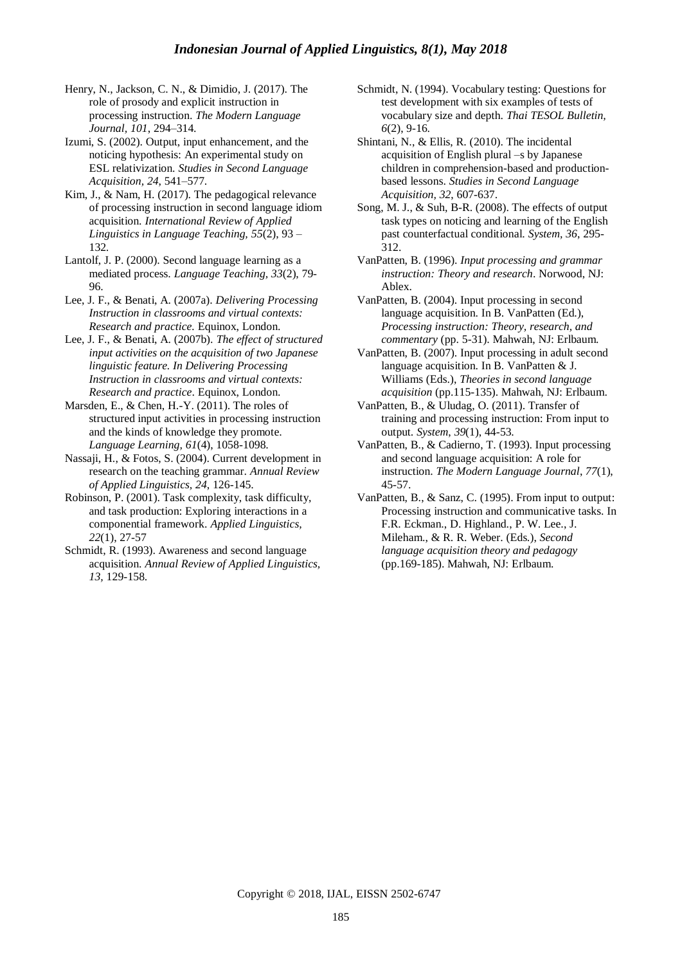Henry, N., Jackson, C. N., & Dimidio, J. (2017). The role of prosody and explicit instruction in processing instruction. *The Modern Language Journal, 101*, 294–314.

Izumi, S. (2002). Output, input enhancement, and the noticing hypothesis: An experimental study on ESL relativization. *Studies in Second Language Acquisition, 24*, 541–577.

Kim, J., & Nam, H. (2017). The pedagogical relevance of processing instruction in second language idiom acquisition. *International Review of Applied Linguistics in Language Teaching, 55*(2), 93 – 132*.*

Lantolf, J. P. (2000). Second language learning as a mediated process. *Language Teaching, 33*(2), 79- 96.

Lee, J. F., & Benati, A. (2007a). *Delivering Processing Instruction in classrooms and virtual contexts: Research and practice.* Equinox, London.

Lee, J. F., & Benati, A. (2007b). *The effect of structured input activities on the acquisition of two Japanese linguistic feature. In Delivering Processing Instruction in classrooms and virtual contexts: Research and practice*. Equinox, London.

Marsden, E., & Chen, H.-Y. (2011). The roles of structured input activities in processing instruction and the kinds of knowledge they promote. *Language Learning, 61*(4), 1058-1098.

Nassaji, H., & Fotos, S. (2004). Current development in research on the teaching grammar. *Annual Review of Applied Linguistics, 24*, 126-145.

Robinson, P. (2001). Task complexity, task difficulty, and task production: Exploring interactions in a componential framework. *Applied Linguistics, 22*(1), 27-57

Schmidt, R. (1993). Awareness and second language acquisition. *Annual Review of Applied Linguistics, 13,* 129-158.

Schmidt, N. (1994). Vocabulary testing: Questions for test development with six examples of tests of vocabulary size and depth. *Thai TESOL Bulletin, 6*(2), 9-16.

Shintani, N., & Ellis, R. (2010). The incidental acquisition of English plural –s by Japanese children in comprehension-based and productionbased lessons. *Studies in Second Language Acquisition, 32*, 607-637.

Song, M. J., & Suh, B-R. (2008). The effects of output task types on noticing and learning of the English past counterfactual conditional. *System, 36*, 295- 312.

VanPatten, B. (1996). *Input processing and grammar instruction: Theory and research*. Norwood, NJ: Ablex.

VanPatten, B. (2004). Input processing in second language acquisition. In B. VanPatten (Ed.), *Processing instruction: Theory, research, and commentary* (pp. 5-31). Mahwah, NJ: Erlbaum.

VanPatten, B. (2007). Input processing in adult second language acquisition. In B. VanPatten & J. Williams (Eds.), *Theories in second language acquisition* (pp.115-135). Mahwah, NJ: Erlbaum.

VanPatten, B., & Uludag, O. (2011). Transfer of training and processing instruction: From input to output. *System*, *39*(1), 44-53.

VanPatten, B., & Cadierno, T. (1993). Input processing and second language acquisition: A role for instruction. *The Modern Language Journal*, *77*(1), 45-57.

VanPatten, B., & Sanz, C. (1995). From input to output: Processing instruction and communicative tasks. In F.R. Eckman., D. Highland., P. W. Lee., J. Mileham., & R. R. Weber. (Eds.), *Second language acquisition theory and pedagogy* (pp.169-185). Mahwah, NJ: Erlbaum.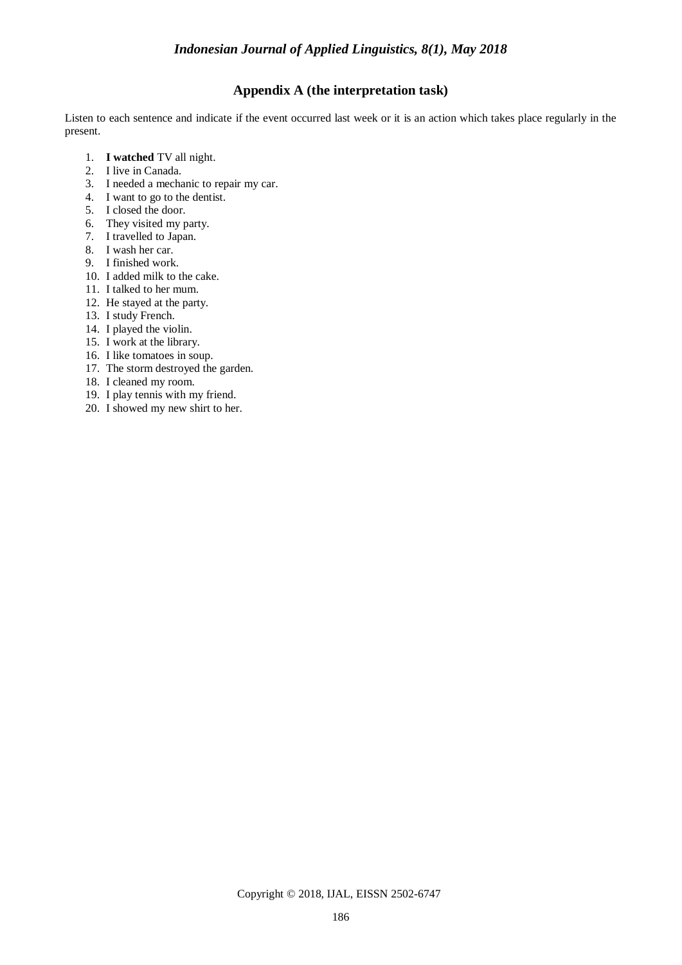# **Appendix A (the interpretation task)**

Listen to each sentence and indicate if the event occurred last week or it is an action which takes place regularly in the present.

- 1. **I watched** TV all night.
- 2. I live in Canada.
- 3. I needed a mechanic to repair my car.
- 4. I want to go to the dentist.
- 5. I closed the door.
- 6. They visited my party.
- 7. I travelled to Japan.
- 8. I wash her car.
- 9. I finished work.
- 10. I added milk to the cake.
- 11. I talked to her mum.
- 12. He stayed at the party.
- 13. I study French.
- 14. I played the violin.
- 15. I work at the library.
- 16. I like tomatoes in soup.
- 17. The storm destroyed the garden.
- 18. I cleaned my room.
- 19. I play tennis with my friend.
- 20. I showed my new shirt to her.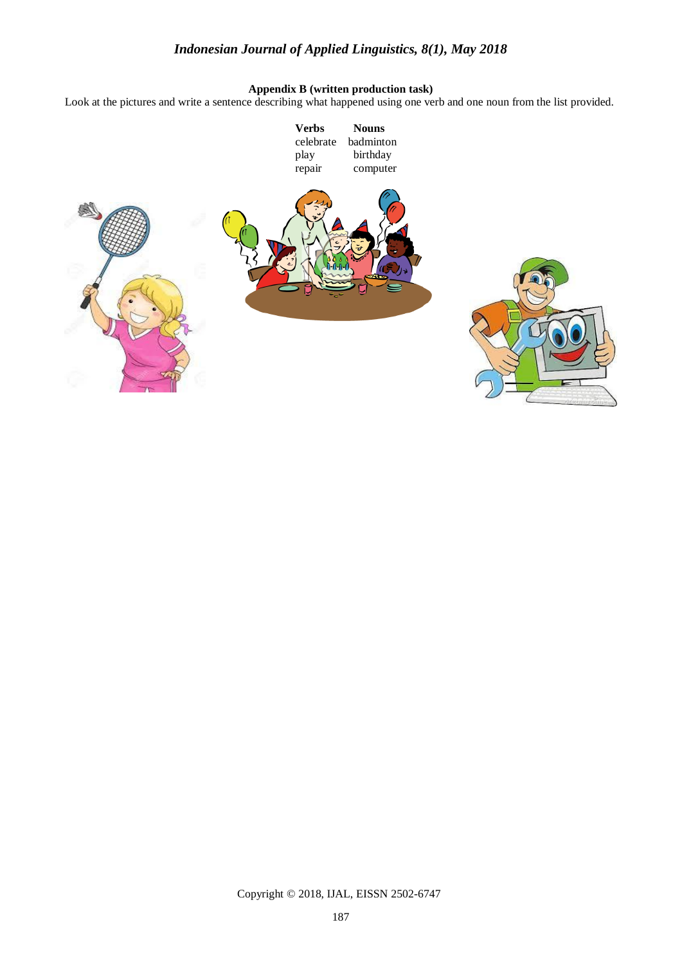# **Appendix B (written production task)**

Look at the pictures and write a sentence describing what happened using one verb and one noun from the list provided.